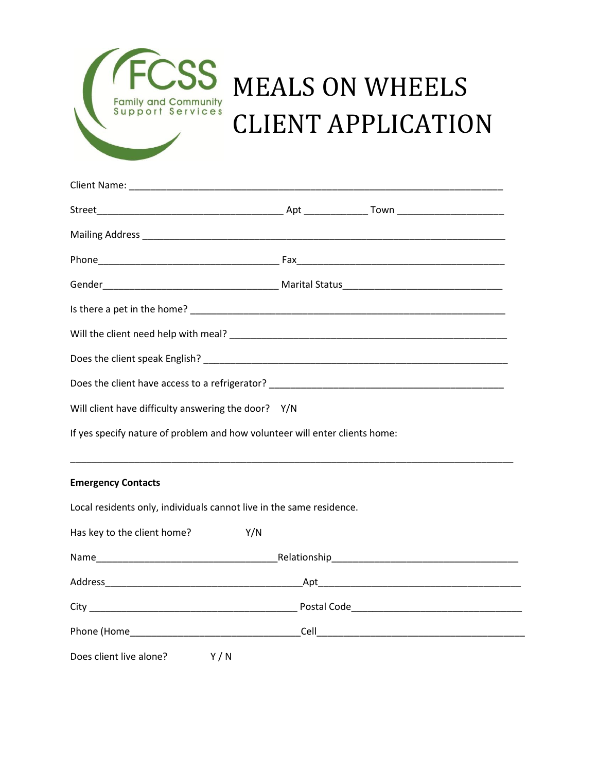

## MEALS ON WHEELS CLIENT APPLICATION

| Will client have difficulty answering the door? Y/N                  |                                                                             |  |
|----------------------------------------------------------------------|-----------------------------------------------------------------------------|--|
|                                                                      | If yes specify nature of problem and how volunteer will enter clients home: |  |
| <b>Emergency Contacts</b>                                            |                                                                             |  |
| Local residents only, individuals cannot live in the same residence. |                                                                             |  |
| Has key to the client home?                                          | Y/N                                                                         |  |
|                                                                      |                                                                             |  |
|                                                                      |                                                                             |  |
|                                                                      |                                                                             |  |
|                                                                      |                                                                             |  |
| Does client live alone?<br>Y/N                                       |                                                                             |  |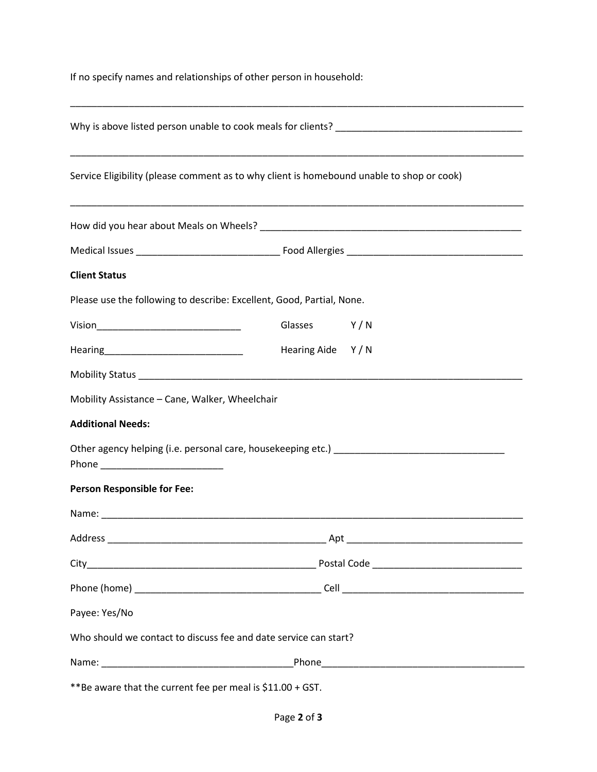If no specify names and relationships of other person in household:

| Service Eligibility (please comment as to why client is homebound unable to shop or cook) |                  |     |
|-------------------------------------------------------------------------------------------|------------------|-----|
|                                                                                           |                  |     |
|                                                                                           |                  |     |
| <b>Client Status</b>                                                                      |                  |     |
| Please use the following to describe: Excellent, Good, Partial, None.                     |                  |     |
|                                                                                           | Glasses          | Y/N |
|                                                                                           | Hearing Aide Y/N |     |
|                                                                                           |                  |     |
| Mobility Assistance - Cane, Walker, Wheelchair                                            |                  |     |
| <b>Additional Needs:</b>                                                                  |                  |     |
| Phone ____________________________                                                        |                  |     |
| <b>Person Responsible for Fee:</b>                                                        |                  |     |
|                                                                                           |                  |     |
|                                                                                           |                  |     |
|                                                                                           |                  |     |
|                                                                                           |                  |     |
| Payee: Yes/No                                                                             |                  |     |
| Who should we contact to discuss fee and date service can start?                          |                  |     |
|                                                                                           |                  |     |
| **Be aware that the current fee per meal is \$11.00 + GST.                                |                  |     |